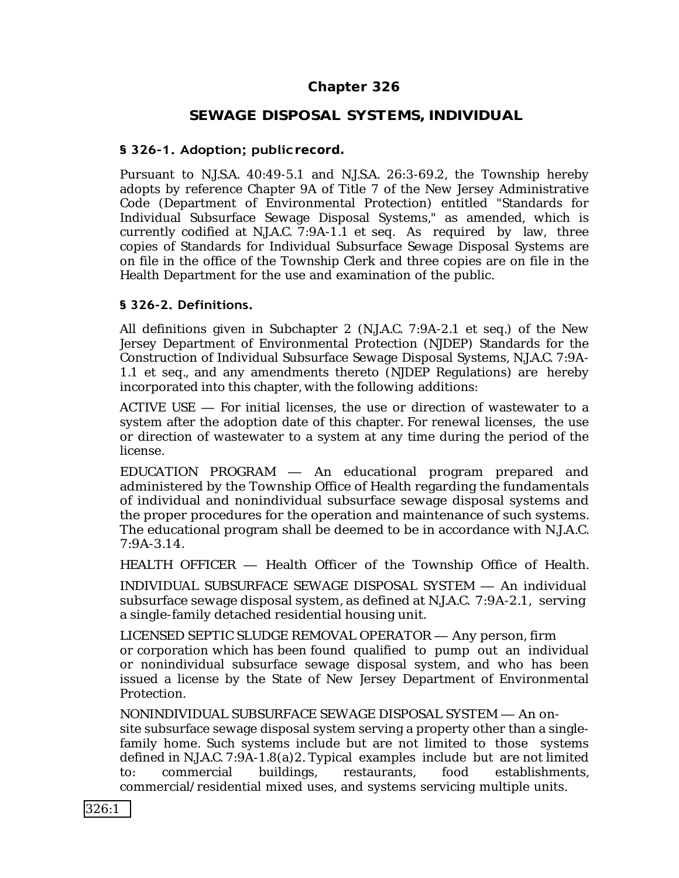# **Chapter 326**

# **SEWAGE DISPOSAL SYSTEMS,INDIVIDUAL**

### **§ 326-1. Adoption; publicrecord.**

Pursuant to N.J.S.A. 40:49-5.1 and N.J.S.A. 26:3-69.2, the Township hereby adopts by reference Chapter 9A of Title 7 of the New Jersey Administrative Code (Department of Environmental Protection) entitled "Standards for Individual Subsurface Sewage Disposal Systems," as amended, which is currently codified at N.J.A.C. 7:9A-1.1 et seq. As required by law, three copies of Standards for Individual Subsurface Sewage Disposal Systems are on file in the office of the Township Clerk and three copies are on file in the Health Department for the use and examination of the public.

#### **§ 326-2. Definitions.**

All definitions given in Subchapter 2 (N.J.A.C. 7:9A-2.1 et seq.) of the New Jersey Department of Environmental Protection (NJDEP) Standards for the Construction of Individual Subsurface Sewage Disposal Systems, N.J.A.C. 7:9A-1.1 et seq., and any amendments thereto (NJDEP Regulations) are hereby incorporated into this chapter, with the following additions:

ACTIVE USE — For initial licenses, the use or direction of wastewater to a system after the adoption date of this chapter. For renewal licenses, the use or direction of wastewater to a system at any time during the period of the license.

EDUCATION PROGRAM — An educational program prepared and administered by the Township Office of Health regarding the fundamentals of individual and nonindividual subsurface sewage disposal systems and the proper procedures for the operation and maintenance of such systems. The educational program shall be deemed to be in accordance with N.J.A.C. 7:9A-3.14.

HEALTH OFFICER — Health Officer of the Township Office of Health.

INDIVIDUAL SUBSURFACE SEWAGE DISPOSAL SYSTEM — An individual subsurface sewage disposal system, as defined at N.J.A.C. 7:9A-2.1, serving a single-family detached residential housing unit.

LICENSED SEPTIC SLUDGE REMOVAL OPERATOR — Any person, firm or corporation which has been found qualified to pump out an individual or nonindividual subsurface sewage disposal system, and who has been issued a license by the State of New Jersey Department of Environmental Protection.

NONINDIVIDUAL SUBSURFACE SEWAGE DISPOSAL SYSTEM — An onsite subsurface sewage disposal system serving a property other than a singlefamily home. Such systems include but are not limited to those systems defined in N.J.A.C. 7:9A-1.8(a)2. Typical examples include but are not limited to: commercial buildings, restaurants, food establishments, commercial/residential mixed uses, and systems servicing multiple units.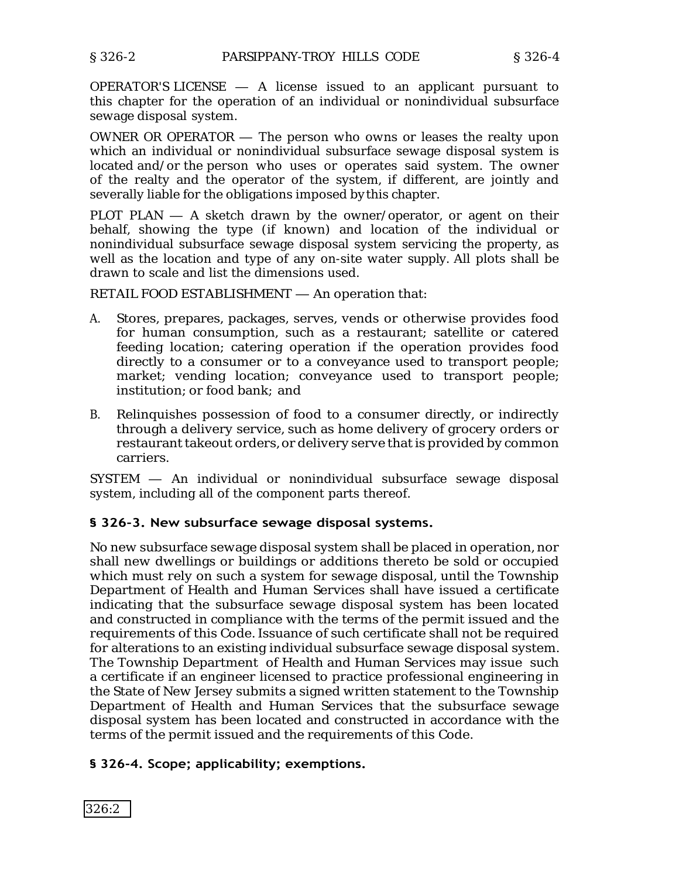OPERATOR'S LICENSE — A license issued to an applicant pursuant to this chapter for the operation of an individual or nonindividual subsurface sewage disposal system.

OWNER OR OPERATOR — The person who owns or leases the realty upon which an individual or nonindividual subsurface sewage disposal system is located and/or the person who uses or operates said system. The owner of the realty and the operator of the system, if different, are jointly and severally liable for the obligations imposed bythis chapter.

PLOT PLAN — A sketch drawn by the owner/operator, or agent on their behalf, showing the type (if known) and location of the individual or nonindividual subsurface sewage disposal system servicing the property, as well as the location and type of any on-site water supply. All plots shall be drawn to scale and list the dimensions used.

RETAIL FOOD ESTABLISHMENT — An operation that:

- A. Stores, prepares, packages, serves, vends or otherwise provides food for human consumption, such as a restaurant; satellite or catered feeding location; catering operation if the operation provides food directly to a consumer or to a conveyance used to transport people; market; vending location; conveyance used to transport people; institution; or food bank; and
- B. Relinquishes possession of food to a consumer directly, or indirectly through a delivery service, such as home delivery of grocery orders or restaurant takeout orders, or delivery serve that is provided by common carriers.

SYSTEM — An individual or nonindividual subsurface sewage disposal system, including all of the component parts thereof.

## **§ 326-3. New subsurface sewage disposal systems.**

No new subsurface sewage disposal system shall be placed in operation, nor shall new dwellings or buildings or additions thereto be sold or occupied which must rely on such a system for sewage disposal, until the Township Department of Health and Human Services shall have issued a certificate indicating that the subsurface sewage disposal system has been located and constructed in compliance with the terms of the permit issued and the requirements of this Code. Issuance of such certificate shall not be required for alterations to an existing individual subsurface sewage disposal system. The Township Department of Health and Human Services may issue such a certificate if an engineer licensed to practice professional engineering in the State of New Jersey submits a signed written statement to the Township Department of Health and Human Services that the subsurface sewage disposal system has been located and constructed in accordance with the terms of the permit issued and the requirements of this Code.

## **§ 326-4. Scope; applicability; exemptions.**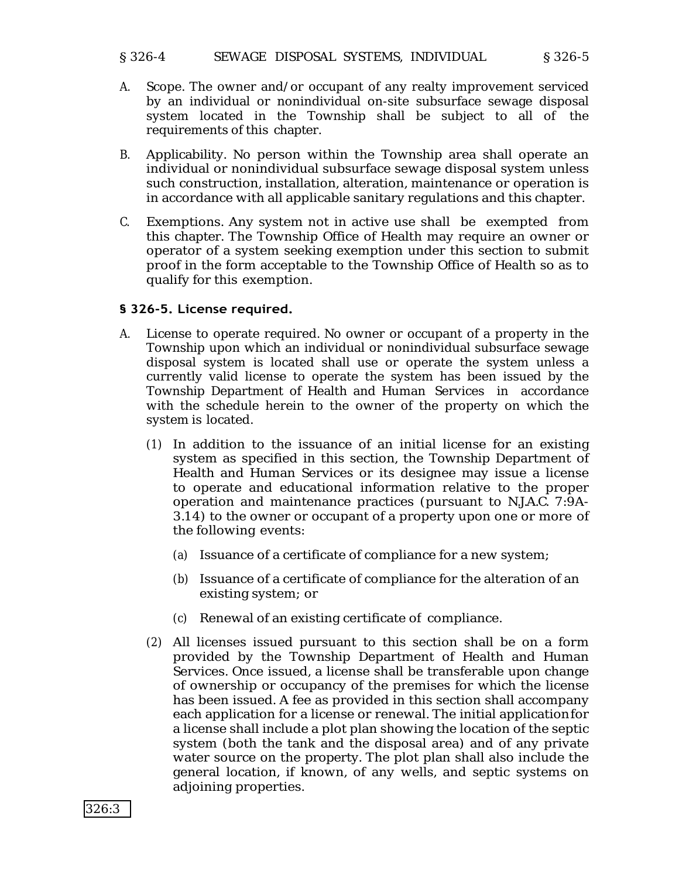#### § 326-4 SEWAGE DISPOSAL SYSTEMS, INDIVIDUAL § 326-5

- A. Scope. The owner and/or occupant of any realty improvement serviced by an individual or nonindividual on-site subsurface sewage disposal system located in the Township shall be subject to all of the requirements of this chapter.
- B. Applicability. No person within the Township area shall operate an individual or nonindividual subsurface sewage disposal system unless such construction, installation, alteration, maintenance or operation is in accordance with all applicable sanitary regulations and this chapter.
- C. Exemptions. Any system not in active use shall be exempted from this chapter. The Township Office of Health may require an owner or operator of a system seeking exemption under this section to submit proof in the form acceptable to the Township Office of Health so as to qualify for this exemption.

## **§ 326-5. License required.**

- A. License to operate required. No owner or occupant of a property in the Township upon which an individual or nonindividual subsurface sewage disposal system is located shall use or operate the system unless a currently valid license to operate the system has been issued by the Township Department of Health and Human Services in accordance with the schedule herein to the owner of the property on which the system is located.
	- (1) In addition to the issuance of an initial license for an existing system as specified in this section, the Township Department of Health and Human Services or its designee may issue a license to operate and educational information relative to the proper operation and maintenance practices (pursuant to N.J.A.C. 7:9A-3.14) to the owner or occupant of a property upon one or more of the following events:
		- (a) Issuance of a certificate of compliance for a new system;
		- (b) Issuance of a certificate of compliance for the alteration of an existing system; or
		- (c) Renewal of an existing certificate of compliance.
	- (2) All licenses issued pursuant to this section shall be on a form provided by the Township Department of Health and Human Services. Once issued, a license shall be transferable upon change of ownership or occupancy of the premises for which the license has been issued. A fee as provided in this section shall accompany each application for a license or renewal. The initial applicationfor a license shall include a plot plan showing the location of the septic system (both the tank and the disposal area) and of any private water source on the property. The plot plan shall also include the general location, if known, of any wells, and septic systems on adjoining properties.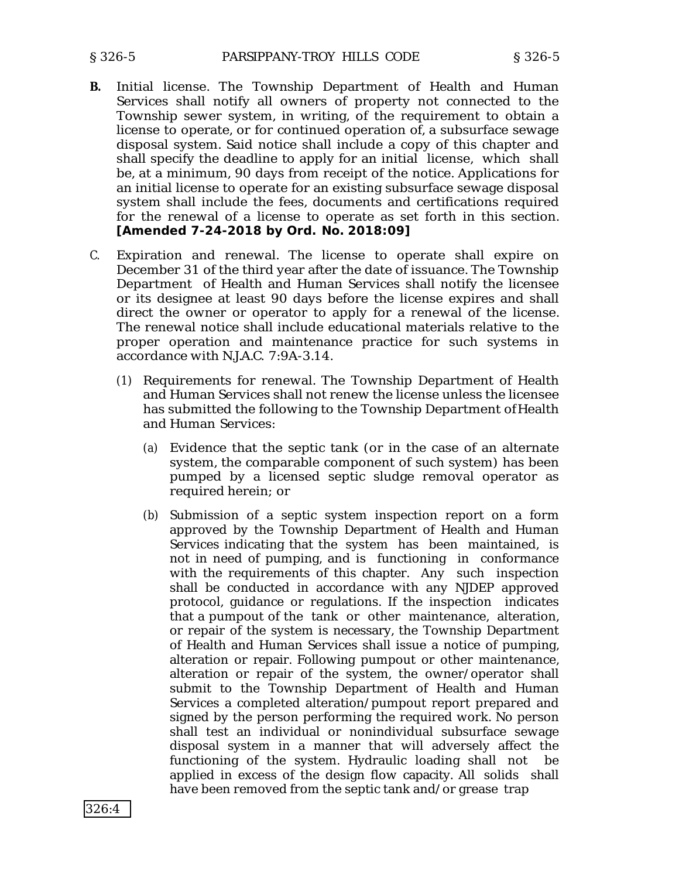- **B.** Initial license. The Township Department of Health and Human Services shall notify all owners of property not connected to the Township sewer system, in writing, of the requirement to obtain a license to operate, or for continued operation of, a subsurface sewage disposal system. Said notice shall include a copy of this chapter and shall specify the deadline to apply for an initial license, which shall be, at a minimum, 90 days from receipt of the notice. Applications for an initial license to operate for an existing subsurface sewage disposal system shall include the fees, documents and certifications required for the renewal of a license to operate as set forth in this section. **[Amended 7-24-2018 by Ord. No. 2018:09]**
- C. Expiration and renewal. The license to operate shall expire on December 31 of the third year after the date of issuance. The Township Department of Health and Human Services shall notify the licensee or its designee at least 90 days before the license expires and shall direct the owner or operator to apply for a renewal of the license. The renewal notice shall include educational materials relative to the proper operation and maintenance practice for such systems in accordance with N.J.A.C. 7:9A-3.14.
	- (1) Requirements for renewal. The Township Department of Health and Human Services shall not renew the license unless the licensee has submitted the following to the Township Department ofHealth and Human Services:
		- (a) Evidence that the septic tank (or in the case of an alternate system, the comparable component of such system) has been pumped by a licensed septic sludge removal operator as required herein; or
		- (b) Submission of a septic system inspection report on a form approved by the Township Department of Health and Human Services indicating that the system has been maintained, is not in need of pumping, and is functioning in conformance with the requirements of this chapter. Any such inspection shall be conducted in accordance with any NJDEP approved protocol, guidance or regulations. If the inspection indicates that a pumpout of the tank or other maintenance, alteration, or repair of the system is necessary, the Township Department of Health and Human Services shall issue a notice of pumping, alteration or repair. Following pumpout or other maintenance, alteration or repair of the system, the owner/operator shall submit to the Township Department of Health and Human Services a completed alteration/pumpout report prepared and signed by the person performing the required work. No person shall test an individual or nonindividual subsurface sewage disposal system in a manner that will adversely affect the functioning of the system. Hydraulic loading shall not be applied in excess of the design flow capacity. All solids shall have been removed from the septic tank and/or grease trap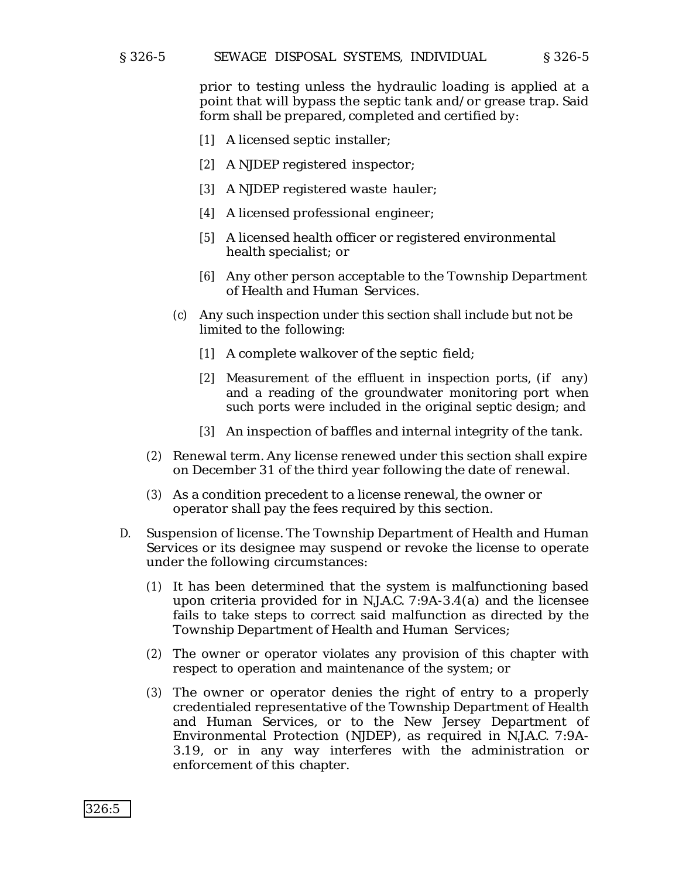#### § 326-5 SEWAGE DISPOSAL SYSTEMS, INDIVIDUAL § 326-5

prior to testing unless the hydraulic loading is applied at a point that will bypass the septic tank and/or grease trap. Said form shall be prepared, completed and certified by:

- [1] A licensed septic installer;
- [2] A NJDEP registered inspector;
- [3] A NJDEP registered waste hauler;
- [4] A licensed professional engineer;
- [5] A licensed health officer or registered environmental health specialist; or
- [6] Any other person acceptable to the Township Department of Health and Human Services.
- (c) Any such inspection under this section shall include but not be limited to the following:
	- [1] A complete walkover of the septic field;
	- [2] Measurement of the effluent in inspection ports, (if any) and a reading of the groundwater monitoring port when such ports were included in the original septic design; and
	- [3] An inspection of baffles and internal integrity of the tank.
- (2) Renewal term. Any license renewed under this section shall expire on December 31 of the third year following the date of renewal.
- (3) As a condition precedent to a license renewal, the owner or operator shall pay the fees required by this section.
- D. Suspension of license. The Township Department of Health and Human Services or its designee may suspend or revoke the license to operate under the following circumstances:
	- (1) It has been determined that the system is malfunctioning based upon criteria provided for in N.J.A.C. 7:9A-3.4(a) and the licensee fails to take steps to correct said malfunction as directed by the Township Department of Health and Human Services;
	- (2) The owner or operator violates any provision of this chapter with respect to operation and maintenance of the system; or
	- (3) The owner or operator denies the right of entry to a properly credentialed representative of the Township Department of Health and Human Services, or to the New Jersey Department of Environmental Protection (NJDEP), as required in N.J.A.C. 7:9A-3.19, or in any way interferes with the administration or enforcement of this chapter.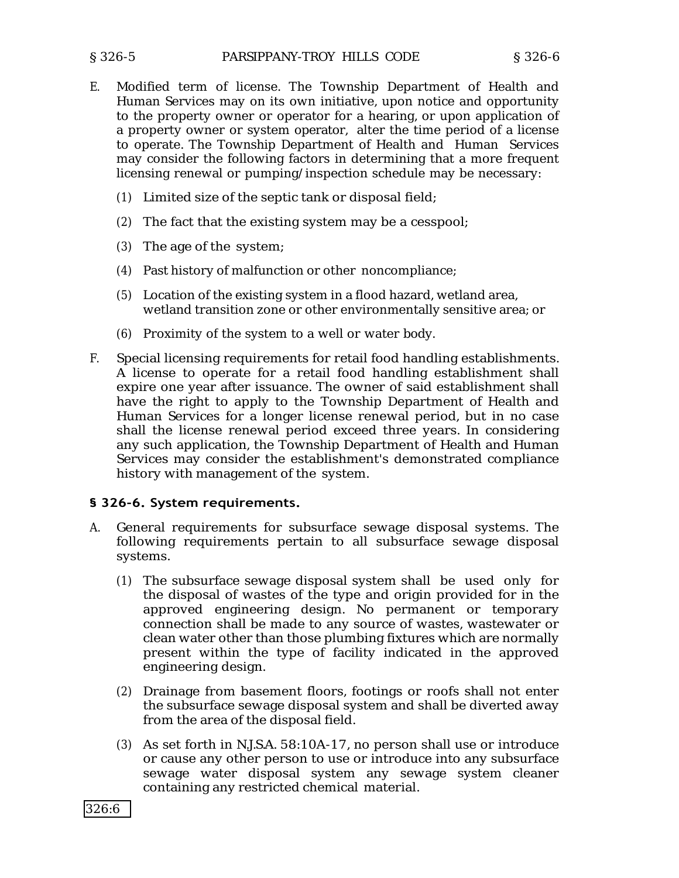- E. Modified term of license. The Township Department of Health and Human Services may on its own initiative, upon notice and opportunity to the property owner or operator for a hearing, or upon application of a property owner or system operator, alter the time period of a license to operate. The Township Department of Health and Human Services may consider the following factors in determining that a more frequent licensing renewal or pumping/inspection schedule may be necessary:
	- (1) Limited size of the septic tank or disposal field;
	- (2) The fact that the existing system may be a cesspool;
	- (3) The age of the system;
	- (4) Past history of malfunction or other noncompliance;
	- (5) Location of the existing system in a flood hazard, wetland area, wetland transition zone or other environmentally sensitive area; or
	- (6) Proximity of the system to a well or water body.
- F. Special licensing requirements for retail food handling establishments. A license to operate for a retail food handling establishment shall expire one year after issuance. The owner of said establishment shall have the right to apply to the Township Department of Health and Human Services for a longer license renewal period, but in no case shall the license renewal period exceed three years. In considering any such application, the Township Department of Health and Human Services may consider the establishment's demonstrated compliance history with management of the system.

#### **§ 326-6. System requirements.**

- A. General requirements for subsurface sewage disposal systems. The following requirements pertain to all subsurface sewage disposal systems.
	- (1) The subsurface sewage disposal system shall be used only for the disposal of wastes of the type and origin provided for in the approved engineering design. No permanent or temporary connection shall be made to any source of wastes, wastewater or clean water other than those plumbing fixtures which are normally present within the type of facility indicated in the approved engineering design.
	- (2) Drainage from basement floors, footings or roofs shall not enter the subsurface sewage disposal system and shall be diverted away from the area of the disposal field.
	- (3) As set forth in N.J.S.A. 58:10A-17, no person shall use or introduce or cause any other person to use or introduce into any subsurface sewage water disposal system any sewage system cleaner containing any restricted chemical material.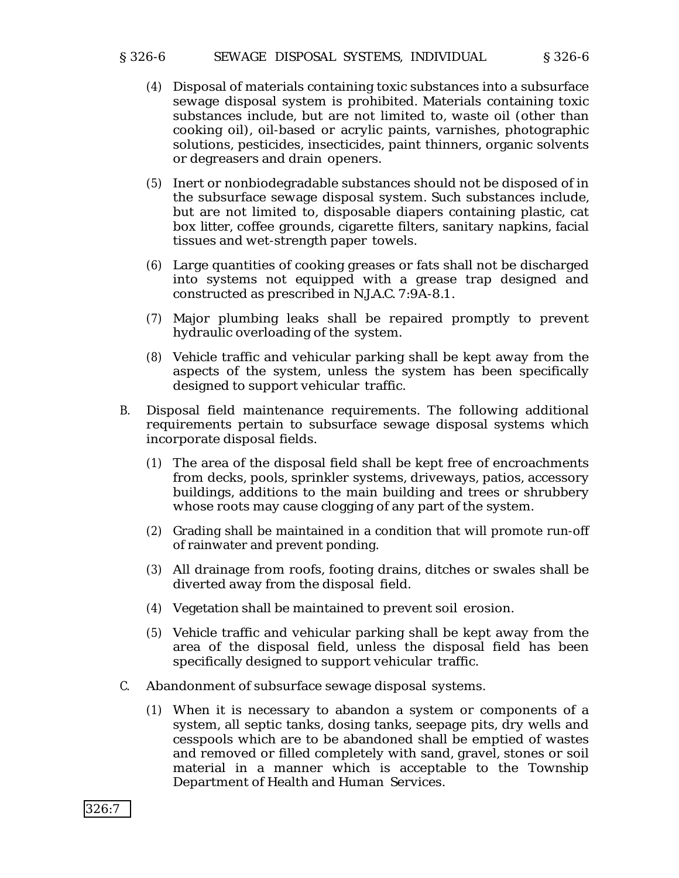#### § 326-6 SEWAGE DISPOSAL SYSTEMS, INDIVIDUAL § 326-6

- (4) Disposal of materials containing toxic substances into a subsurface sewage disposal system is prohibited. Materials containing toxic substances include, but are not limited to, waste oil (other than cooking oil), oil-based or acrylic paints, varnishes, photographic solutions, pesticides, insecticides, paint thinners, organic solvents or degreasers and drain openers.
- (5) Inert or nonbiodegradable substances should not be disposed of in the subsurface sewage disposal system. Such substances include, but are not limited to, disposable diapers containing plastic, cat box litter, coffee grounds, cigarette filters, sanitary napkins, facial tissues and wet-strength paper towels.
- (6) Large quantities of cooking greases or fats shall not be discharged into systems not equipped with a grease trap designed and constructed as prescribed in N.J.A.C. 7:9A-8.1.
- (7) Major plumbing leaks shall be repaired promptly to prevent hydraulic overloading of the system.
- (8) Vehicle traffic and vehicular parking shall be kept away from the aspects of the system, unless the system has been specifically designed to support vehicular traffic.
- B. Disposal field maintenance requirements. The following additional requirements pertain to subsurface sewage disposal systems which incorporate disposal fields.
	- (1) The area of the disposal field shall be kept free of encroachments from decks, pools, sprinkler systems, driveways, patios, accessory buildings, additions to the main building and trees or shrubbery whose roots may cause clogging of any part of the system.
	- (2) Grading shall be maintained in a condition that will promote run-off of rainwater and prevent ponding.
	- (3) All drainage from roofs, footing drains, ditches or swales shall be diverted away from the disposal field.
	- (4) Vegetation shall be maintained to prevent soil erosion.
	- (5) Vehicle traffic and vehicular parking shall be kept away from the area of the disposal field, unless the disposal field has been specifically designed to support vehicular traffic.
- C. Abandonment of subsurface sewage disposal systems.

326:7

(1) When it is necessary to abandon a system or components of a system, all septic tanks, dosing tanks, seepage pits, dry wells and cesspools which are to be abandoned shall be emptied of wastes and removed or filled completely with sand, gravel, stones or soil material in a manner which is acceptable to the Township Department of Health and Human Services.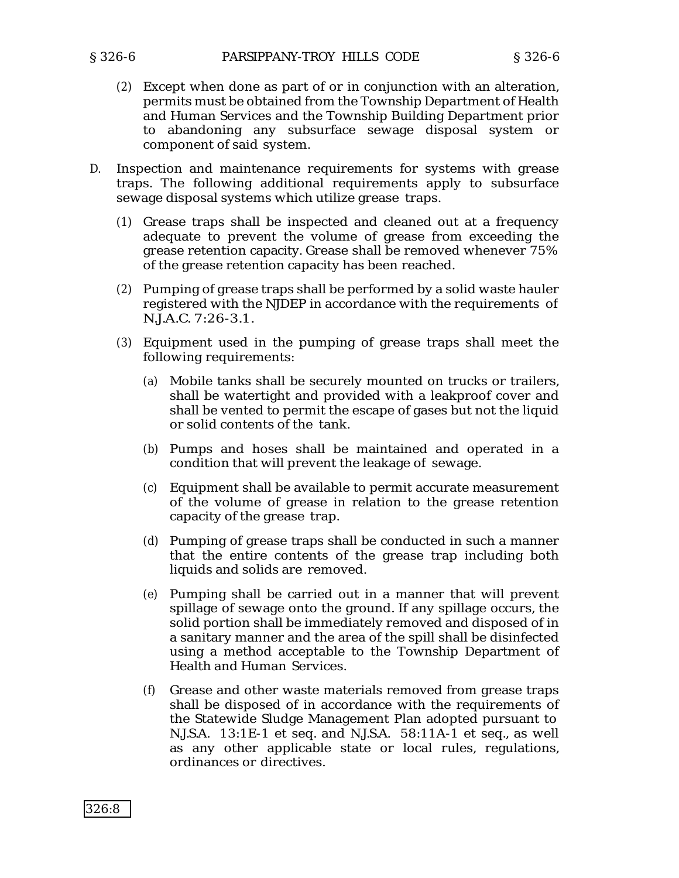- (2) Except when done as part of or in conjunction with an alteration, permits must be obtained from the Township Department of Health and Human Services and the Township Building Department prior to abandoning any subsurface sewage disposal system or component of said system.
- D. Inspection and maintenance requirements for systems with grease traps. The following additional requirements apply to subsurface sewage disposal systems which utilize grease traps.
	- (1) Grease traps shall be inspected and cleaned out at a frequency adequate to prevent the volume of grease from exceeding the grease retention capacity. Grease shall be removed whenever 75% of the grease retention capacity has been reached.
	- (2) Pumping of grease traps shall be performed by a solid waste hauler registered with the NJDEP in accordance with the requirements of N.J.A.C. 7:26-3.1.
	- (3) Equipment used in the pumping of grease traps shall meet the following requirements:
		- (a) Mobile tanks shall be securely mounted on trucks or trailers, shall be watertight and provided with a leakproof cover and shall be vented to permit the escape of gases but not the liquid or solid contents of the tank.
		- (b) Pumps and hoses shall be maintained and operated in a condition that will prevent the leakage of sewage.
		- (c) Equipment shall be available to permit accurate measurement of the volume of grease in relation to the grease retention capacity of the grease trap.
		- (d) Pumping of grease traps shall be conducted in such a manner that the entire contents of the grease trap including both liquids and solids are removed.
		- (e) Pumping shall be carried out in a manner that will prevent spillage of sewage onto the ground. If any spillage occurs, the solid portion shall be immediately removed and disposed of in a sanitary manner and the area of the spill shall be disinfected using a method acceptable to the Township Department of Health and Human Services.
		- (f) Grease and other waste materials removed from grease traps shall be disposed of in accordance with the requirements of the Statewide Sludge Management Plan adopted pursuant to N.J.S.A. 13:1E-1 et seq. and N.J.S.A. 58:11A-1 et seq., as well as any other applicable state or local rules, regulations, ordinances or directives.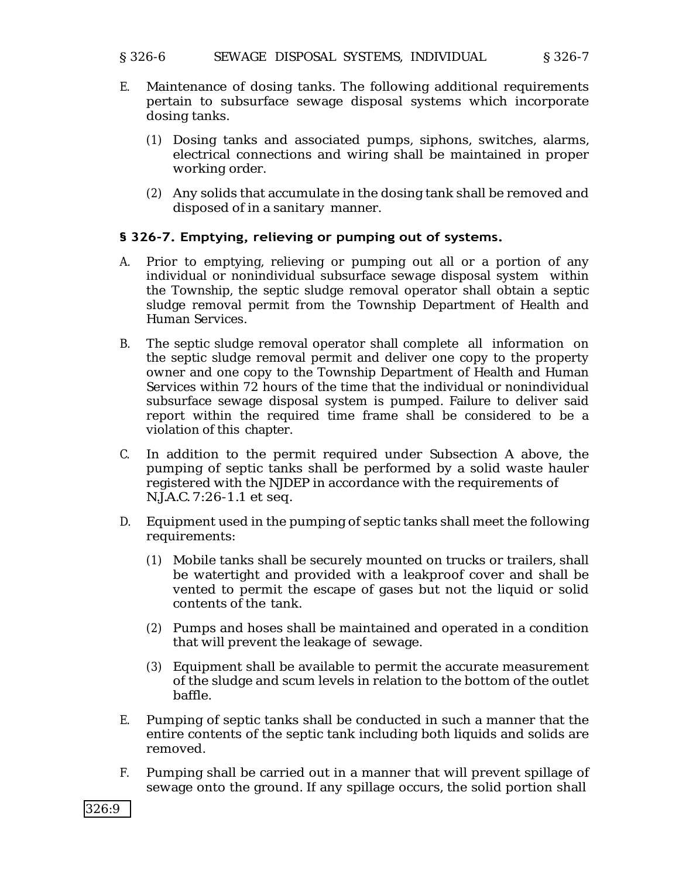#### § 326-6 SEWAGE DISPOSAL SYSTEMS, INDIVIDUAL § 326-7

- E. Maintenance of dosing tanks. The following additional requirements pertain to subsurface sewage disposal systems which incorporate dosing tanks.
	- (1) Dosing tanks and associated pumps, siphons, switches, alarms, electrical connections and wiring shall be maintained in proper working order.
	- (2) Any solids that accumulate in the dosing tank shall be removed and disposed of in a sanitary manner.

## **§ 326-7. Emptying, relieving or pumping out of systems.**

- A. Prior to emptying, relieving or pumping out all or a portion of any individual or nonindividual subsurface sewage disposal system within the Township, the septic sludge removal operator shall obtain a septic sludge removal permit from the Township Department of Health and Human Services.
- B. The septic sludge removal operator shall complete all information on the septic sludge removal permit and deliver one copy to the property owner and one copy to the Township Department of Health and Human Services within 72 hours of the time that the individual or nonindividual subsurface sewage disposal system is pumped. Failure to deliver said report within the required time frame shall be considered to be a violation of this chapter.
- C. In addition to the permit required under Subsection A above, the pumping of septic tanks shall be performed by a solid waste hauler registered with the NJDEP in accordance with the requirements of N.J.A.C. 7:26-1.1 et seq.
- D. Equipment used in the pumping of septic tanks shall meet the following requirements:
	- (1) Mobile tanks shall be securely mounted on trucks or trailers, shall be watertight and provided with a leakproof cover and shall be vented to permit the escape of gases but not the liquid or solid contents of the tank.
	- (2) Pumps and hoses shall be maintained and operated in a condition that will prevent the leakage of sewage.
	- (3) Equipment shall be available to permit the accurate measurement of the sludge and scum levels in relation to the bottom of the outlet baffle.
- E. Pumping of septic tanks shall be conducted in such a manner that the entire contents of the septic tank including both liquids and solids are removed.
- F. Pumping shall be carried out in a manner that will prevent spillage of sewage onto the ground. If any spillage occurs, the solid portion shall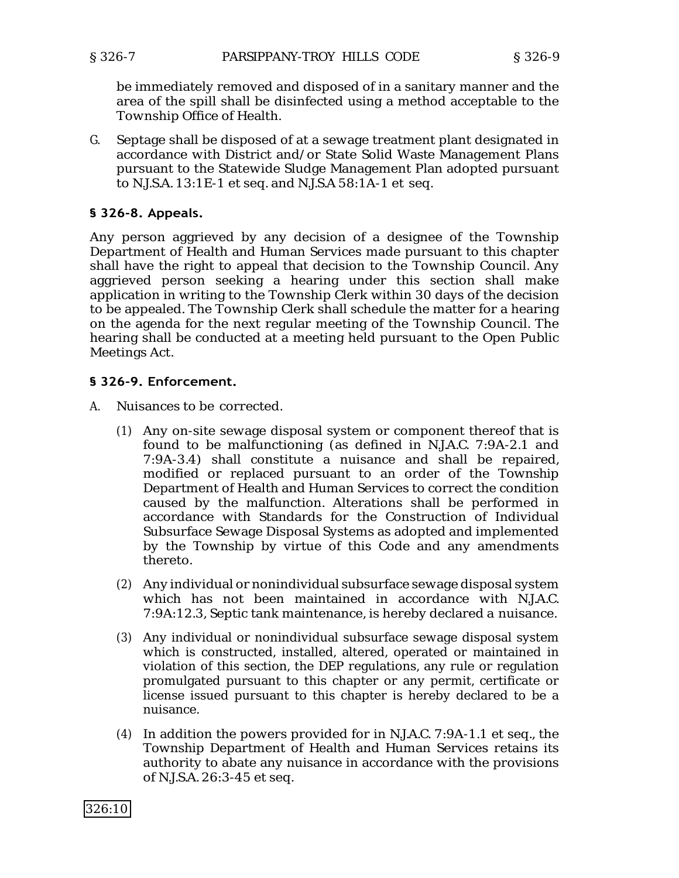be immediately removed and disposed of in a sanitary manner and the area of the spill shall be disinfected using a method acceptable to the Township Office of Health.

G. Septage shall be disposed of at a sewage treatment plant designated in accordance with District and/or State Solid Waste Management Plans pursuant to the Statewide Sludge Management Plan adopted pursuant to N.J.S.A. 13:1E-1 et seq. and N.J.S.A 58:1A-1 et seq.

## **§ 326-8. Appeals.**

Any person aggrieved by any decision of a designee of the Township Department of Health and Human Services made pursuant to this chapter shall have the right to appeal that decision to the Township Council. Any aggrieved person seeking a hearing under this section shall make application in writing to the Township Clerk within 30 days of the decision to be appealed. The Township Clerk shall schedule the matter for a hearing on the agenda for the next regular meeting of the Township Council. The hearing shall be conducted at a meeting held pursuant to the Open Public Meetings Act.

## **§ 326-9. Enforcement.**

- A. Nuisances to be corrected.
	- (1) Any on-site sewage disposal system or component thereof that is found to be malfunctioning (as defined in N.J.A.C. 7:9A-2.1 and 7:9A-3.4) shall constitute a nuisance and shall be repaired, modified or replaced pursuant to an order of the Township Department of Health and Human Services to correct the condition caused by the malfunction. Alterations shall be performed in accordance with Standards for the Construction of Individual Subsurface Sewage Disposal Systems as adopted and implemented by the Township by virtue of this Code and any amendments thereto.
	- (2) Any individual or nonindividual subsurface sewage disposal system which has not been maintained in accordance with N.J.A.C. 7:9A:12.3, Septic tank maintenance, is hereby declared a nuisance.
	- (3) Any individual or nonindividual subsurface sewage disposal system which is constructed, installed, altered, operated or maintained in violation of this section, the DEP regulations, any rule or regulation promulgated pursuant to this chapter or any permit, certificate or license issued pursuant to this chapter is hereby declared to be a nuisance.
	- (4) In addition the powers provided for in N.J.A.C. 7:9A-1.1 et seq., the Township Department of Health and Human Services retains its authority to abate any nuisance in accordance with the provisions of N.J.S.A. 26:3-45 et seq.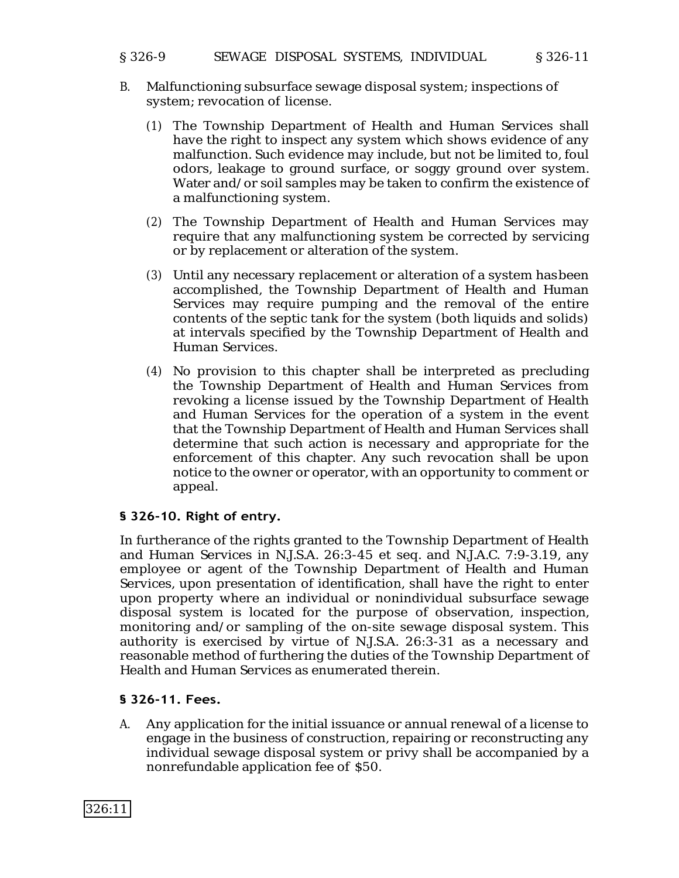## § 326-9 SEWAGE DISPOSAL SYSTEMS, INDIVIDUAL § 326-11

- B. Malfunctioning subsurface sewage disposal system; inspections of system; revocation of license.
	- (1) The Township Department of Health and Human Services shall have the right to inspect any system which shows evidence of any malfunction. Such evidence may include, but not be limited to, foul odors, leakage to ground surface, or soggy ground over system. Water and/or soil samples may be taken to confirm the existence of a malfunctioning system.
	- (2) The Township Department of Health and Human Services may require that any malfunctioning system be corrected by servicing or by replacement or alteration of the system.
	- (3) Until any necessary replacement or alteration of a system hasbeen accomplished, the Township Department of Health and Human Services may require pumping and the removal of the entire contents of the septic tank for the system (both liquids and solids) at intervals specified by the Township Department of Health and Human Services.
	- (4) No provision to this chapter shall be interpreted as precluding the Township Department of Health and Human Services from revoking a license issued by the Township Department of Health and Human Services for the operation of a system in the event that the Township Department of Health and Human Services shall determine that such action is necessary and appropriate for the enforcement of this chapter. Any such revocation shall be upon notice to the owner or operator, with an opportunity to comment or appeal.

## **§ 326-10. Right of entry.**

In furtherance of the rights granted to the Township Department of Health and Human Services in N.J.S.A. 26:3-45 et seq. and N.J.A.C. 7:9-3.19, any employee or agent of the Township Department of Health and Human Services, upon presentation of identification, shall have the right to enter upon property where an individual or nonindividual subsurface sewage disposal system is located for the purpose of observation, inspection, monitoring and/or sampling of the on-site sewage disposal system. This authority is exercised by virtue of N.J.S.A. 26:3-31 as a necessary and reasonable method of furthering the duties of the Township Department of Health and Human Services as enumerated therein.

## **§ 326-11. Fees.**

A. Any application for the initial issuance or annual renewal of a license to engage in the business of construction, repairing or reconstructing any individual sewage disposal system or privy shall be accompanied by a nonrefundable application fee of \$50.